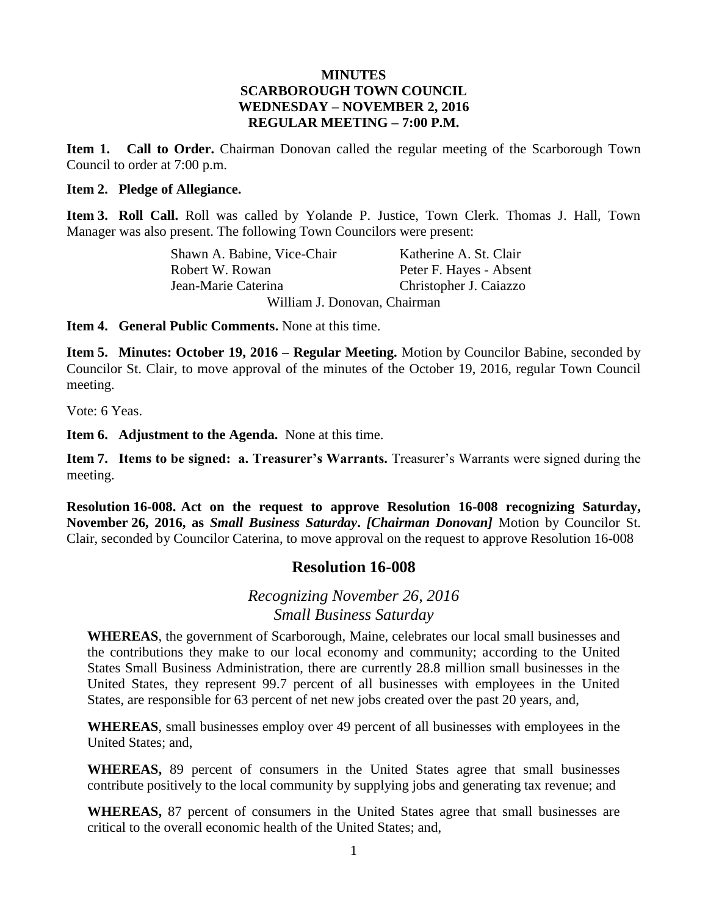### **MINUTES SCARBOROUGH TOWN COUNCIL WEDNESDAY – NOVEMBER 2, 2016 REGULAR MEETING – 7:00 P.M.**

**Item 1. Call to Order.** Chairman Donovan called the regular meeting of the Scarborough Town Council to order at 7:00 p.m.

### **Item 2. Pledge of Allegiance.**

**Item 3. Roll Call.** Roll was called by Yolande P. Justice, Town Clerk. Thomas J. Hall, Town Manager was also present. The following Town Councilors were present:

> Shawn A. Babine, Vice-Chair Katherine A. St. Clair Robert W. Rowan Peter F. Hayes - Absent Jean-Marie Caterina Christopher J. Caiazzo William J. Donovan, Chairman

**Item 4. General Public Comments.** None at this time.

**Item 5. Minutes: October 19, 2016 – Regular Meeting.** Motion by Councilor Babine, seconded by Councilor St. Clair, to move approval of the minutes of the October 19, 2016, regular Town Council meeting.

Vote: 6 Yeas.

**Item 6. Adjustment to the Agenda.** None at this time.

**Item 7. Items to be signed: a. Treasurer's Warrants.** Treasurer's Warrants were signed during the meeting.

**Resolution 16-008. Act on the request to approve Resolution 16-008 recognizing Saturday, November 26, 2016, as** *Small Business Saturday***.** *[Chairman Donovan]* Motion by Councilor St. Clair, seconded by Councilor Caterina, to move approval on the request to approve Resolution 16-008

### **Resolution 16-008**

# *Recognizing November 26, 2016 Small Business Saturday*

**WHEREAS**, the government of Scarborough, Maine, celebrates our local small businesses and the contributions they make to our local economy and community; according to the United States Small Business Administration, there are currently 28.8 million small businesses in the United States, they represent 99.7 percent of all businesses with employees in the United States, are responsible for 63 percent of net new jobs created over the past 20 years, and,

**WHEREAS**, small businesses employ over 49 percent of all businesses with employees in the United States; and,

**WHEREAS,** 89 percent of consumers in the United States agree that small businesses contribute positively to the local community by supplying jobs and generating tax revenue; and

**WHEREAS,** 87 percent of consumers in the United States agree that small businesses are critical to the overall economic health of the United States; and,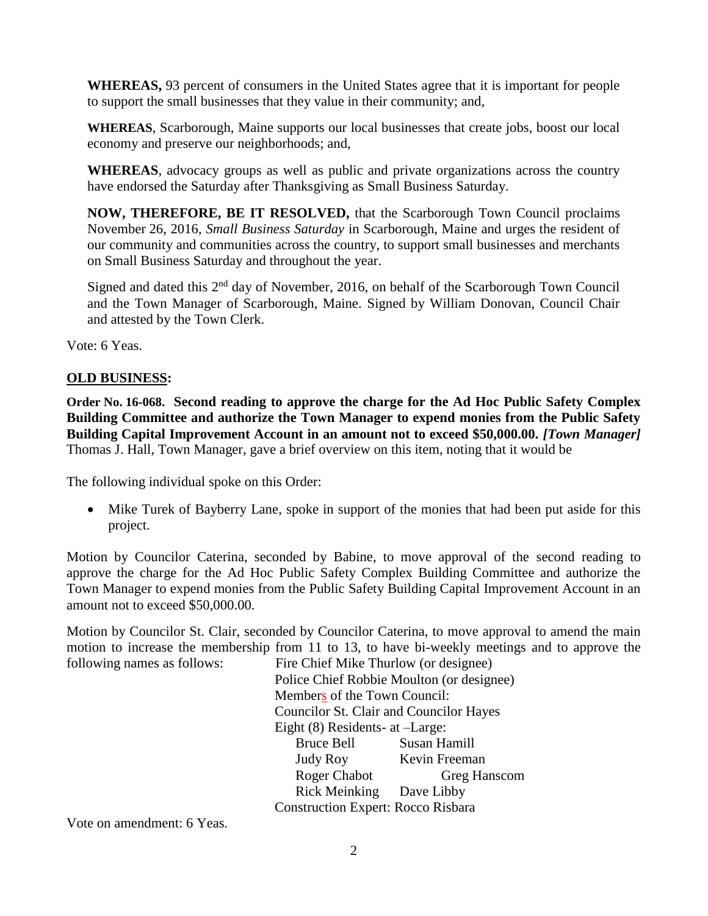**WHEREAS,** 93 percent of consumers in the United States agree that it is important for people to support the small businesses that they value in their community; and,

**WHEREAS**, Scarborough, Maine supports our local businesses that create jobs, boost our local economy and preserve our neighborhoods; and,

**WHEREAS**, advocacy groups as well as public and private organizations across the country have endorsed the Saturday after Thanksgiving as Small Business Saturday.

**NOW, THEREFORE, BE IT RESOLVED,** that the Scarborough Town Council proclaims November 26, 2016, *Small Business Saturday* in Scarborough, Maine and urges the resident of our community and communities across the country, to support small businesses and merchants on Small Business Saturday and throughout the year.

Signed and dated this 2<sup>nd</sup> day of November, 2016, on behalf of the Scarborough Town Council and the Town Manager of Scarborough, Maine. Signed by William Donovan, Council Chair and attested by the Town Clerk.

Vote: 6 Yeas.

### **OLD BUSINESS:**

**Order No. 16-068. Second reading to approve the charge for the Ad Hoc Public Safety Complex Building Committee and authorize the Town Manager to expend monies from the Public Safety Building Capital Improvement Account in an amount not to exceed \$50,000.00.** *[Town Manager]* Thomas J. Hall, Town Manager, gave a brief overview on this item, noting that it would be

The following individual spoke on this Order:

• Mike Turek of Bayberry Lane, spoke in support of the monies that had been put aside for this project.

Motion by Councilor Caterina, seconded by Babine, to move approval of the second reading to approve the charge for the Ad Hoc Public Safety Complex Building Committee and authorize the Town Manager to expend monies from the Public Safety Building Capital Improvement Account in an amount not to exceed \$50,000.00.

Motion by Councilor St. Clair, seconded by Councilor Caterina, to move approval to amend the main motion to increase the membership from 11 to 13, to have bi-weekly meetings and to approve the following names as follows: Fire Chief Mike Thurlow (or designee)

Police Chief Robbie Moulton (or designee) Members of the Town Council: Councilor St. Clair and Councilor Hayes Eight (8) Residents- at –Large: Bruce Bell Susan Hamill Judy Roy Kevin Freeman Roger Chabot Greg Hanscom Rick Meinking Dave Libby Construction Expert: Rocco Risbara

Vote on amendment: 6 Yeas.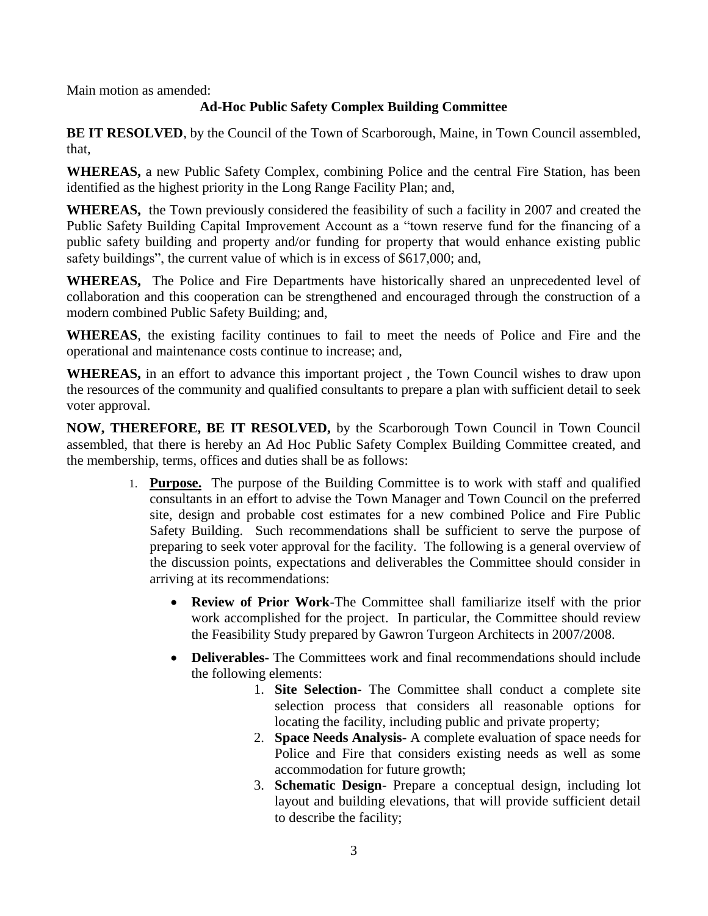Main motion as amended:

## **Ad-Hoc Public Safety Complex Building Committee**

**BE IT RESOLVED**, by the Council of the Town of Scarborough, Maine, in Town Council assembled, that,

**WHEREAS,** a new Public Safety Complex, combining Police and the central Fire Station, has been identified as the highest priority in the Long Range Facility Plan; and,

**WHEREAS,** the Town previously considered the feasibility of such a facility in 2007 and created the Public Safety Building Capital Improvement Account as a "town reserve fund for the financing of a public safety building and property and/or funding for property that would enhance existing public safety buildings", the current value of which is in excess of \$617,000; and,

**WHEREAS,** The Police and Fire Departments have historically shared an unprecedented level of collaboration and this cooperation can be strengthened and encouraged through the construction of a modern combined Public Safety Building; and,

**WHEREAS**, the existing facility continues to fail to meet the needs of Police and Fire and the operational and maintenance costs continue to increase; and,

**WHEREAS,** in an effort to advance this important project , the Town Council wishes to draw upon the resources of the community and qualified consultants to prepare a plan with sufficient detail to seek voter approval.

**NOW, THEREFORE, BE IT RESOLVED,** by the Scarborough Town Council in Town Council assembled, that there is hereby an Ad Hoc Public Safety Complex Building Committee created, and the membership, terms, offices and duties shall be as follows:

- 1. **Purpose.** The purpose of the Building Committee is to work with staff and qualified consultants in an effort to advise the Town Manager and Town Council on the preferred site, design and probable cost estimates for a new combined Police and Fire Public Safety Building. Such recommendations shall be sufficient to serve the purpose of preparing to seek voter approval for the facility. The following is a general overview of the discussion points, expectations and deliverables the Committee should consider in arriving at its recommendations:
	- **Review of Prior Work**-The Committee shall familiarize itself with the prior work accomplished for the project. In particular, the Committee should review the Feasibility Study prepared by Gawron Turgeon Architects in 2007/2008.
	- **Deliverables-** The Committees work and final recommendations should include the following elements:
		- 1. **Site Selection-** The Committee shall conduct a complete site selection process that considers all reasonable options for locating the facility, including public and private property;
		- 2. **Space Needs Analysis** A complete evaluation of space needs for Police and Fire that considers existing needs as well as some accommodation for future growth;
		- 3. **Schematic Design** Prepare a conceptual design, including lot layout and building elevations, that will provide sufficient detail to describe the facility;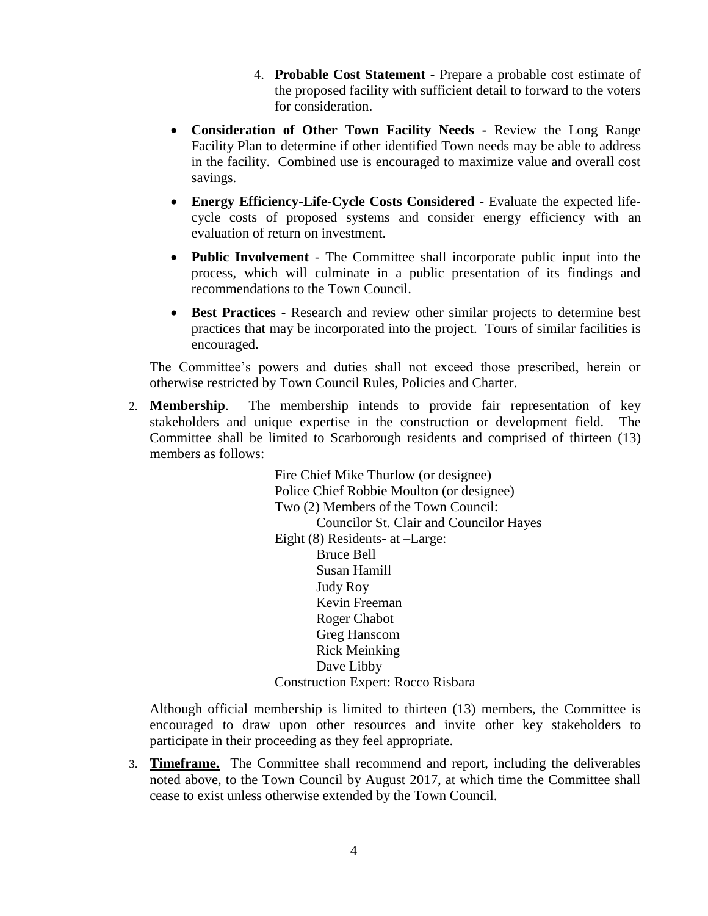- 4. **Probable Cost Statement** Prepare a probable cost estimate of the proposed facility with sufficient detail to forward to the voters for consideration.
- **Consideration of Other Town Facility Needs -** Review the Long Range Facility Plan to determine if other identified Town needs may be able to address in the facility. Combined use is encouraged to maximize value and overall cost savings.
- **Energy Efficiency-Life-Cycle Costs Considered** Evaluate the expected lifecycle costs of proposed systems and consider energy efficiency with an evaluation of return on investment.
- **Public Involvement** The Committee shall incorporate public input into the process, which will culminate in a public presentation of its findings and recommendations to the Town Council.
- **Best Practices** Research and review other similar projects to determine best practices that may be incorporated into the project. Tours of similar facilities is encouraged.

The Committee's powers and duties shall not exceed those prescribed, herein or otherwise restricted by Town Council Rules, Policies and Charter.

2. **Membership**. The membership intends to provide fair representation of key stakeholders and unique expertise in the construction or development field. The Committee shall be limited to Scarborough residents and comprised of thirteen (13) members as follows:

> Fire Chief Mike Thurlow (or designee) Police Chief Robbie Moulton (or designee) Two (2) Members of the Town Council: Councilor St. Clair and Councilor Hayes Eight (8) Residents- at –Large: Bruce Bell Susan Hamill Judy Roy Kevin Freeman Roger Chabot Greg Hanscom Rick Meinking Dave Libby Construction Expert: Rocco Risbara

Although official membership is limited to thirteen (13) members, the Committee is encouraged to draw upon other resources and invite other key stakeholders to participate in their proceeding as they feel appropriate.

3. **Timeframe.** The Committee shall recommend and report, including the deliverables noted above, to the Town Council by August 2017, at which time the Committee shall cease to exist unless otherwise extended by the Town Council.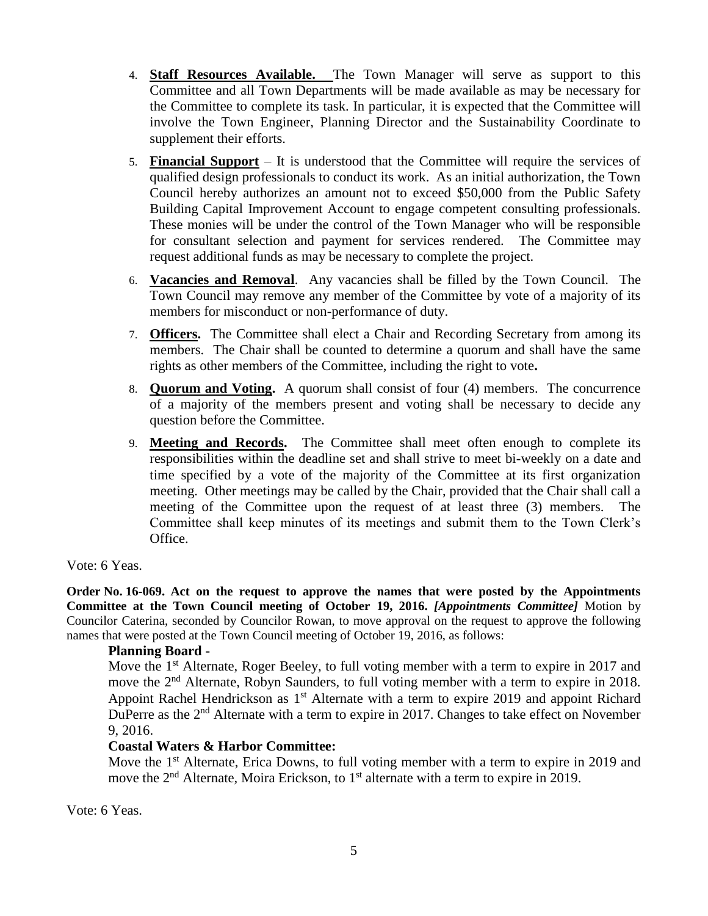- 4. **Staff Resources Available.** The Town Manager will serve as support to this Committee and all Town Departments will be made available as may be necessary for the Committee to complete its task. In particular, it is expected that the Committee will involve the Town Engineer, Planning Director and the Sustainability Coordinate to supplement their efforts.
- 5. **Financial Support** It is understood that the Committee will require the services of qualified design professionals to conduct its work. As an initial authorization, the Town Council hereby authorizes an amount not to exceed \$50,000 from the Public Safety Building Capital Improvement Account to engage competent consulting professionals. These monies will be under the control of the Town Manager who will be responsible for consultant selection and payment for services rendered. The Committee may request additional funds as may be necessary to complete the project.
- 6. **Vacancies and Removal**. Any vacancies shall be filled by the Town Council. The Town Council may remove any member of the Committee by vote of a majority of its members for misconduct or non-performance of duty.
- 7. **Officers.** The Committee shall elect a Chair and Recording Secretary from among its members. The Chair shall be counted to determine a quorum and shall have the same rights as other members of the Committee, including the right to vote**.**
- 8. **Quorum and Voting.** A quorum shall consist of four (4) members. The concurrence of a majority of the members present and voting shall be necessary to decide any question before the Committee.
- 9. **Meeting and Records.** The Committee shall meet often enough to complete its responsibilities within the deadline set and shall strive to meet bi-weekly on a date and time specified by a vote of the majority of the Committee at its first organization meeting. Other meetings may be called by the Chair, provided that the Chair shall call a meeting of the Committee upon the request of at least three (3) members. The Committee shall keep minutes of its meetings and submit them to the Town Clerk's Office.

### Vote: 6 Yeas.

**Order No. 16-069. Act on the request to approve the names that were posted by the Appointments Committee at the Town Council meeting of October 19, 2016.** *[Appointments Committee]* Motion by Councilor Caterina, seconded by Councilor Rowan, to move approval on the request to approve the following names that were posted at the Town Council meeting of October 19, 2016, as follows:

#### **Planning Board -**

Move the 1<sup>st</sup> Alternate, Roger Beeley, to full voting member with a term to expire in 2017 and move the 2<sup>nd</sup> Alternate, Robyn Saunders, to full voting member with a term to expire in 2018. Appoint Rachel Hendrickson as  $1<sup>st</sup>$  Alternate with a term to expire 2019 and appoint Richard DuPerre as the  $2<sup>nd</sup>$  Alternate with a term to expire in 2017. Changes to take effect on November 9, 2016.

### **Coastal Waters & Harbor Committee:**

Move the 1<sup>st</sup> Alternate, Erica Downs, to full voting member with a term to expire in 2019 and move the  $2<sup>nd</sup>$  Alternate, Moira Erickson, to 1<sup>st</sup> alternate with a term to expire in 2019.

Vote: 6 Yeas.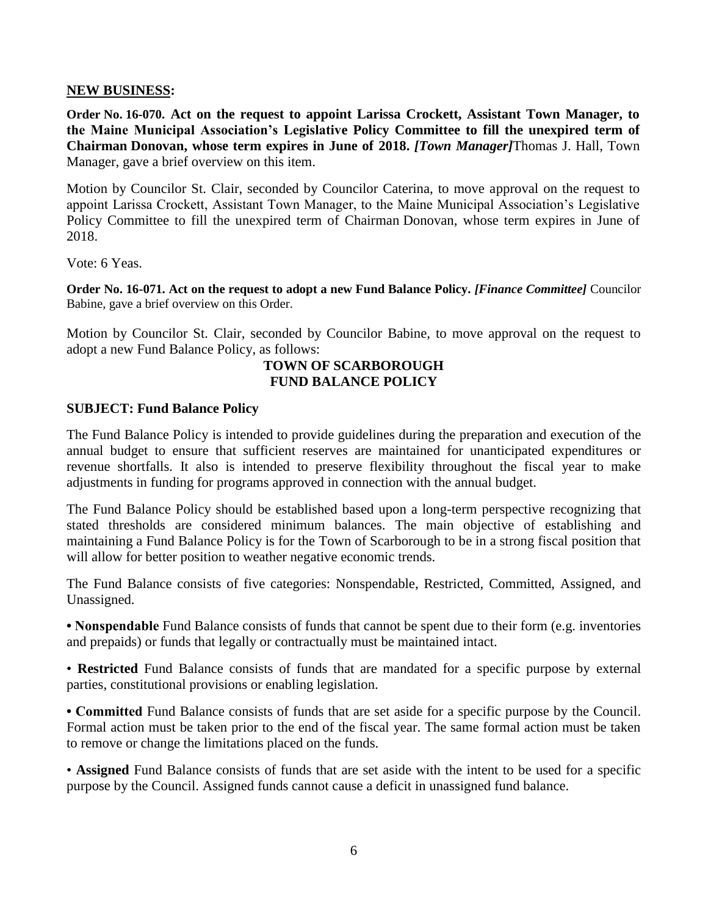### **NEW BUSINESS:**

**Order No. 16-070. Act on the request to appoint Larissa Crockett, Assistant Town Manager, to the Maine Municipal Association's Legislative Policy Committee to fill the unexpired term of Chairman Donovan, whose term expires in June of 2018.** *[Town Manager]*Thomas J. Hall, Town Manager, gave a brief overview on this item.

Motion by Councilor St. Clair, seconded by Councilor Caterina, to move approval on the request to appoint Larissa Crockett, Assistant Town Manager, to the Maine Municipal Association's Legislative Policy Committee to fill the unexpired term of Chairman Donovan, whose term expires in June of 2018.

Vote: 6 Yeas.

**Order No. 16-071. Act on the request to adopt a new Fund Balance Policy.** *[Finance Committee]* Councilor Babine, gave a brief overview on this Order.

Motion by Councilor St. Clair, seconded by Councilor Babine, to move approval on the request to adopt a new Fund Balance Policy, as follows:

### **TOWN OF SCARBOROUGH FUND BALANCE POLICY**

### **SUBJECT: Fund Balance Policy**

The Fund Balance Policy is intended to provide guidelines during the preparation and execution of the annual budget to ensure that sufficient reserves are maintained for unanticipated expenditures or revenue shortfalls. It also is intended to preserve flexibility throughout the fiscal year to make adjustments in funding for programs approved in connection with the annual budget.

The Fund Balance Policy should be established based upon a long-term perspective recognizing that stated thresholds are considered minimum balances. The main objective of establishing and maintaining a Fund Balance Policy is for the Town of Scarborough to be in a strong fiscal position that will allow for better position to weather negative economic trends.

The Fund Balance consists of five categories: Nonspendable, Restricted, Committed, Assigned, and Unassigned.

**• Nonspendable** Fund Balance consists of funds that cannot be spent due to their form (e.g. inventories and prepaids) or funds that legally or contractually must be maintained intact.

• **Restricted** Fund Balance consists of funds that are mandated for a specific purpose by external parties, constitutional provisions or enabling legislation.

**• Committed** Fund Balance consists of funds that are set aside for a specific purpose by the Council. Formal action must be taken prior to the end of the fiscal year. The same formal action must be taken to remove or change the limitations placed on the funds.

• **Assigned** Fund Balance consists of funds that are set aside with the intent to be used for a specific purpose by the Council. Assigned funds cannot cause a deficit in unassigned fund balance.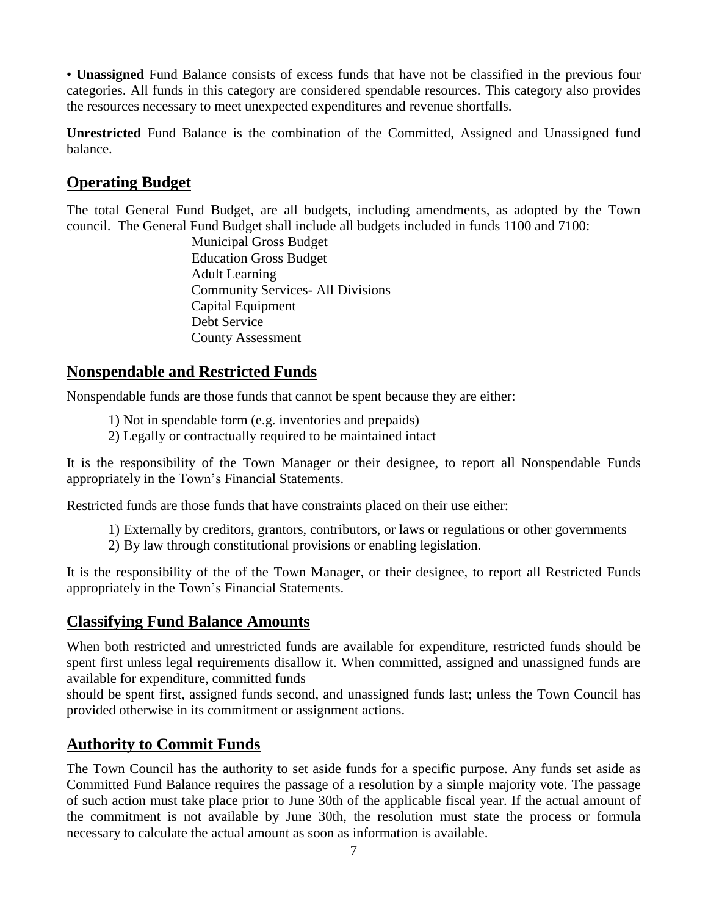• **Unassigned** Fund Balance consists of excess funds that have not be classified in the previous four categories. All funds in this category are considered spendable resources. This category also provides the resources necessary to meet unexpected expenditures and revenue shortfalls.

**Unrestricted** Fund Balance is the combination of the Committed, Assigned and Unassigned fund balance.

# **Operating Budget**

The total General Fund Budget, are all budgets, including amendments, as adopted by the Town council. The General Fund Budget shall include all budgets included in funds 1100 and 7100:

Municipal Gross Budget Education Gross Budget Adult Learning Community Services- All Divisions Capital Equipment Debt Service County Assessment

# **Nonspendable and Restricted Funds**

Nonspendable funds are those funds that cannot be spent because they are either:

- 1) Not in spendable form (e.g. inventories and prepaids)
- 2) Legally or contractually required to be maintained intact

It is the responsibility of the Town Manager or their designee, to report all Nonspendable Funds appropriately in the Town's Financial Statements.

Restricted funds are those funds that have constraints placed on their use either:

- 1) Externally by creditors, grantors, contributors, or laws or regulations or other governments
- 2) By law through constitutional provisions or enabling legislation.

It is the responsibility of the of the Town Manager, or their designee, to report all Restricted Funds appropriately in the Town's Financial Statements.

## **Classifying Fund Balance Amounts**

When both restricted and unrestricted funds are available for expenditure, restricted funds should be spent first unless legal requirements disallow it. When committed, assigned and unassigned funds are available for expenditure, committed funds

should be spent first, assigned funds second, and unassigned funds last; unless the Town Council has provided otherwise in its commitment or assignment actions.

# **Authority to Commit Funds**

The Town Council has the authority to set aside funds for a specific purpose. Any funds set aside as Committed Fund Balance requires the passage of a resolution by a simple majority vote. The passage of such action must take place prior to June 30th of the applicable fiscal year. If the actual amount of the commitment is not available by June 30th, the resolution must state the process or formula necessary to calculate the actual amount as soon as information is available.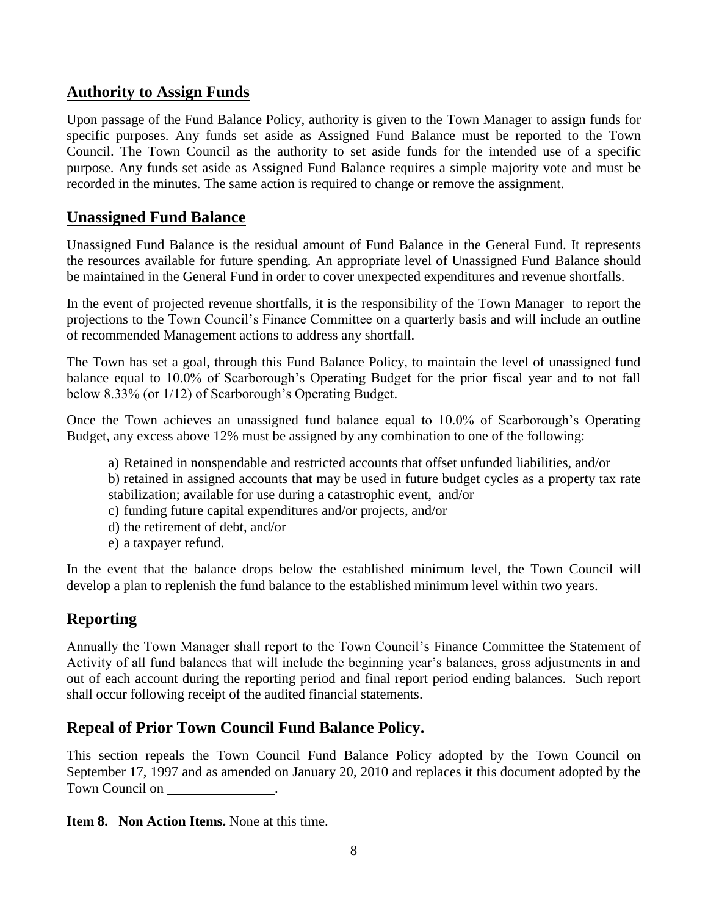## **Authority to Assign Funds**

Upon passage of the Fund Balance Policy, authority is given to the Town Manager to assign funds for specific purposes. Any funds set aside as Assigned Fund Balance must be reported to the Town Council. The Town Council as the authority to set aside funds for the intended use of a specific purpose. Any funds set aside as Assigned Fund Balance requires a simple majority vote and must be recorded in the minutes. The same action is required to change or remove the assignment.

## **Unassigned Fund Balance**

Unassigned Fund Balance is the residual amount of Fund Balance in the General Fund. It represents the resources available for future spending. An appropriate level of Unassigned Fund Balance should be maintained in the General Fund in order to cover unexpected expenditures and revenue shortfalls.

In the event of projected revenue shortfalls, it is the responsibility of the Town Manager to report the projections to the Town Council's Finance Committee on a quarterly basis and will include an outline of recommended Management actions to address any shortfall.

The Town has set a goal, through this Fund Balance Policy, to maintain the level of unassigned fund balance equal to 10.0% of Scarborough's Operating Budget for the prior fiscal year and to not fall below 8.33% (or 1/12) of Scarborough's Operating Budget.

Once the Town achieves an unassigned fund balance equal to 10.0% of Scarborough's Operating Budget, any excess above 12% must be assigned by any combination to one of the following:

- a) Retained in nonspendable and restricted accounts that offset unfunded liabilities, and/or
- b) retained in assigned accounts that may be used in future budget cycles as a property tax rate stabilization; available for use during a catastrophic event, and/or
- c) funding future capital expenditures and/or projects, and/or
- d) the retirement of debt, and/or
- e) a taxpayer refund.

In the event that the balance drops below the established minimum level, the Town Council will develop a plan to replenish the fund balance to the established minimum level within two years.

# **Reporting**

Annually the Town Manager shall report to the Town Council's Finance Committee the Statement of Activity of all fund balances that will include the beginning year's balances, gross adjustments in and out of each account during the reporting period and final report period ending balances. Such report shall occur following receipt of the audited financial statements.

# **Repeal of Prior Town Council Fund Balance Policy.**

This section repeals the Town Council Fund Balance Policy adopted by the Town Council on September 17, 1997 and as amended on January 20, 2010 and replaces it this document adopted by the Town Council on .

**Item 8. Non Action Items.** None at this time.